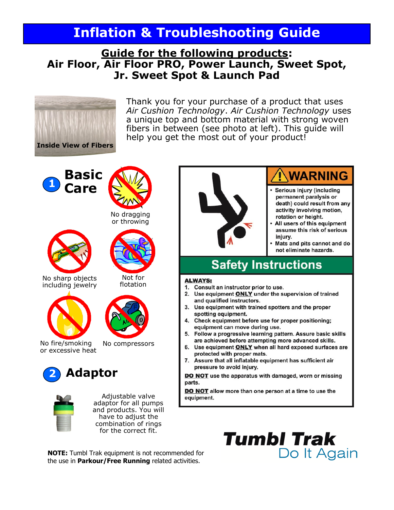## **Inflation & Troubleshooting Guide**

## **Guide for the following products:** Air Floor, Air Floor PRO, Power Launch, Sweet Spot, Jr. Sweet Spot & Launch Pad



Thank you for your purchase of a product that uses Air Cushion Technology. Air Cushion Technology uses a unique top and bottom material with strong woven fibers in between (see photo at left). This quide will help you get the most out of your product!



# **WARNING**

- **Serious injury (including** permanent paralysis or death) could result from any activity involving motion, rotation or height.
- All users of this equipment assume this risk of serious injury.
- Mats and pits cannot and do not eliminate hazards.

## **Safety Instructions**

### **ALWAYS:**

- 1. Consult an instructor prior to use.
- 2. Use equipment ONLY under the supervision of trained and qualified instructors.
- 3. Use equipment with trained spotters and the proper spotting equipment.
- 4. Check equipment before use for proper positioning; equipment can move during use.
- 5. Follow a progressive learning pattern. Assure basic skills are achieved before attempting more advanced skills.
- 6. Use equipment ONLY when all hard exposed surfaces are protected with proper mats.
- 7. Assure that all inflatable equipment has sufficient air pressure to avoid injury.

**DO NOT** use the apparatus with damaged, worn or missing parts.

DO NOT allow more than one person at a time to use the equipment.

**NOTE:** Tumbl Trak equipment is not recommended for the use in Parkour/Free Running related activities.

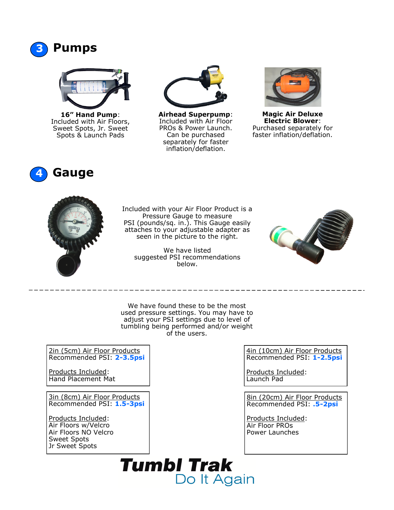



**16" Hand Pump**: Included with Air Floors, Sweet Spots, Jr. Sweet Spots & Launch Pads



**Airhead Superpump**: Included with Air Floor PROs & Power Launch. Can be purchased separately for faster inflation/deflation.



**Magic Air Deluxe Electric Blower**: Purchased separately for faster inflation/deflation.





Included with your Air Floor Product is a Pressure Gauge to measure PSI (pounds/sq. in.). This Gauge easily attaches to your adjustable adapter as seen in the picture to the right.



We have listed suggested PSI recommendations below.

We have found these to be the most used pressure settings. You may have to adjust your PSI settings due to level of tumbling being performed and/or weight of the users.

2in (5cm) Air Floor Products Recommended PSI: **2-3.5psi**

Products Included: Hand Placement Mat

3in (8cm) Air Floor Products Recommended PSI: **1.5-3psi**

Products Included: Air Floors w/Velcro Air Floors NO Velcro Sweet Spots Jr Sweet Spots

4in (10cm) Air Floor Products Recommended PSI: **1-2.5psi**

Products Included: Launch Pad

8in (20cm) Air Floor Products Recommended PSI: **.5-2psi**

Products Included: Air Floor PROs Power Launches

# **Tumbl Trak** Do It Again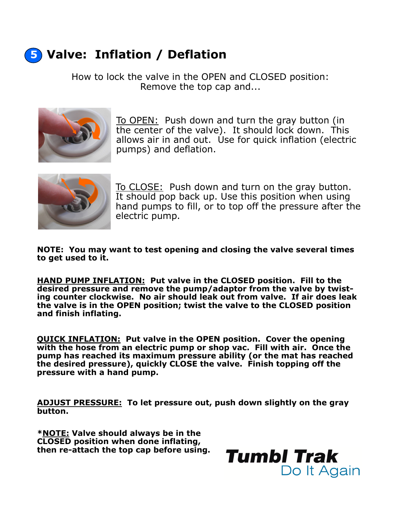## **Valve: Inflation / Deflation 5**

How to lock the valve in the OPEN and CLOSED position: Remove the top cap and...



To OPEN: Push down and turn the gray button (in the center of the valve). It should lock down. This allows air in and out. Use for quick inflation (electric pumps) and deflation.



To CLOSE: Push down and turn on the gray button. It should pop back up. Use this position when using hand pumps to fill, or to top off the pressure after the electric pump.

## **NOTE: You may want to test opening and closing the valve several times to get used to it.**

**HAND PUMP INFLATION: Put valve in the CLOSED position. Fill to the desired pressure and remove the pump/adaptor from the valve by twisting counter clockwise. No air should leak out from valve. If air does leak the valve is in the OPEN position; twist the valve to the CLOSED position and finish inflating.** 

**QUICK INFLATION: Put valve in the OPEN position. Cover the opening with the hose from an electric pump or shop vac. Fill with air. Once the pump has reached its maximum pressure ability (or the mat has reached the desired pressure), quickly CLOSE the valve. Finish topping off the pressure with a hand pump.**

**ADJUST PRESSURE: To let pressure out, push down slightly on the gray button.**

**\*NOTE: Valve should always be in the CLOSED position when done inflating, then re-attach the top cap before using.**